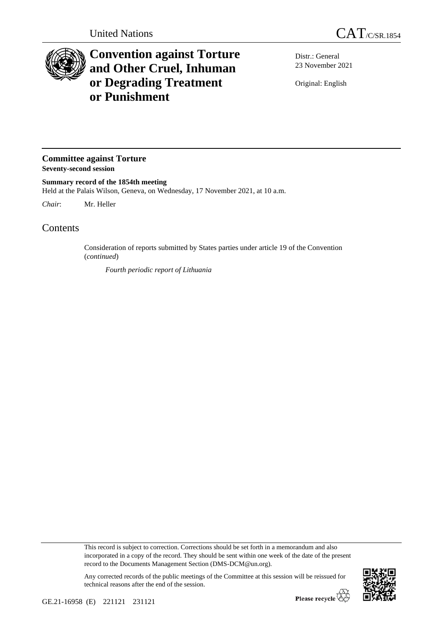

## **Convention against Torture and Other Cruel, Inhuman or Degrading Treatment or Punishment**

Distr.: General 23 November 2021

Original: English

**Committee against Torture Seventy-second session**

**Summary record of the 1854th meeting** Held at the Palais Wilson, Geneva, on Wednesday, 17 November 2021, at 10 a.m.

*Chair*: Mr. Heller

Contents

Consideration of reports submitted by States parties under article 19 of the Convention (*continued*)

*Fourth periodic report of Lithuania*

This record is subject to correction. Corrections should be set forth in a memorandum and also incorporated in a copy of the record. They should be sent within one week of the date of the present record to the Documents Management Section (DMS-DCM@un.org).

Any corrected records of the public meetings of the Committee at this session will be reissued for technical reasons after the end of the session.

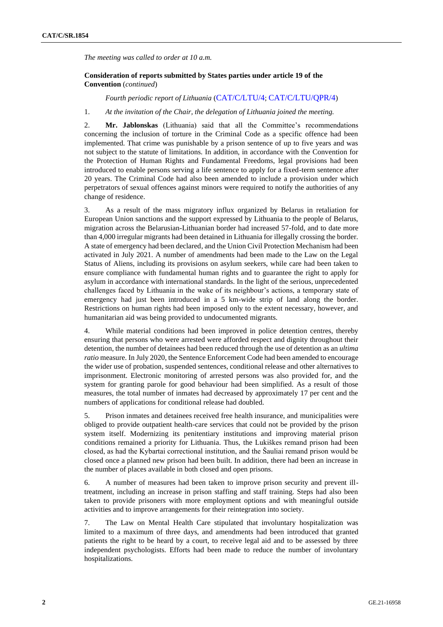*The meeting was called to order at 10 a.m.*

## **Consideration of reports submitted by States parties under article 19 of the Convention** (*continued*)

*Fourth periodic report of Lithuania* ([CAT/C/LTU/4](http://undocs.org/en/CAT/C/LTU/4); [CAT/C/LTU/QPR/4](http://undocs.org/en/CAT/C/LTU/QPR/4))

## 1. *At the invitation of the Chair, the delegation of Lithuania joined the meeting.*

2. **Mr. Jablonskas** (Lithuania) said that all the Committee's recommendations concerning the inclusion of torture in the Criminal Code as a specific offence had been implemented. That crime was punishable by a prison sentence of up to five years and was not subject to the statute of limitations. In addition, in accordance with the Convention for the Protection of Human Rights and Fundamental Freedoms, legal provisions had been introduced to enable persons serving a life sentence to apply for a fixed-term sentence after 20 years. The Criminal Code had also been amended to include a provision under which perpetrators of sexual offences against minors were required to notify the authorities of any change of residence.

3. As a result of the mass migratory influx organized by Belarus in retaliation for European Union sanctions and the support expressed by Lithuania to the people of Belarus, migration across the Belarusian-Lithuanian border had increased 57-fold, and to date more than 4,000 irregular migrants had been detained in Lithuania for illegally crossing the border. A state of emergency had been declared, and the Union Civil Protection Mechanism had been activated in July 2021. A number of amendments had been made to the Law on the Legal Status of Aliens, including its provisions on asylum seekers, while care had been taken to ensure compliance with fundamental human rights and to guarantee the right to apply for asylum in accordance with international standards. In the light of the serious, unprecedented challenges faced by Lithuania in the wake of its neighbour's actions, a temporary state of emergency had just been introduced in a 5 km-wide strip of land along the border. Restrictions on human rights had been imposed only to the extent necessary, however, and humanitarian aid was being provided to undocumented migrants.

4. While material conditions had been improved in police detention centres, thereby ensuring that persons who were arrested were afforded respect and dignity throughout their detention, the number of detainees had been reduced through the use of detention as an *ultima ratio* measure. In July 2020, the Sentence Enforcement Code had been amended to encourage the wider use of probation, suspended sentences, conditional release and other alternatives to imprisonment. Electronic monitoring of arrested persons was also provided for, and the system for granting parole for good behaviour had been simplified. As a result of those measures, the total number of inmates had decreased by approximately 17 per cent and the numbers of applications for conditional release had doubled.

5. Prison inmates and detainees received free health insurance, and municipalities were obliged to provide outpatient health-care services that could not be provided by the prison system itself. Modernizing its penitentiary institutions and improving material prison conditions remained a priority for Lithuania. Thus, the Lukiškes remand prison had been closed, as had the Kybartai correctional institution, and the Šauliai remand prison would be closed once a planned new prison had been built. In addition, there had been an increase in the number of places available in both closed and open prisons.

6. A number of measures had been taken to improve prison security and prevent illtreatment, including an increase in prison staffing and staff training. Steps had also been taken to provide prisoners with more employment options and with meaningful outside activities and to improve arrangements for their reintegration into society.

7. The Law on Mental Health Care stipulated that involuntary hospitalization was limited to a maximum of three days, and amendments had been introduced that granted patients the right to be heard by a court, to receive legal aid and to be assessed by three independent psychologists. Efforts had been made to reduce the number of involuntary hospitalizations.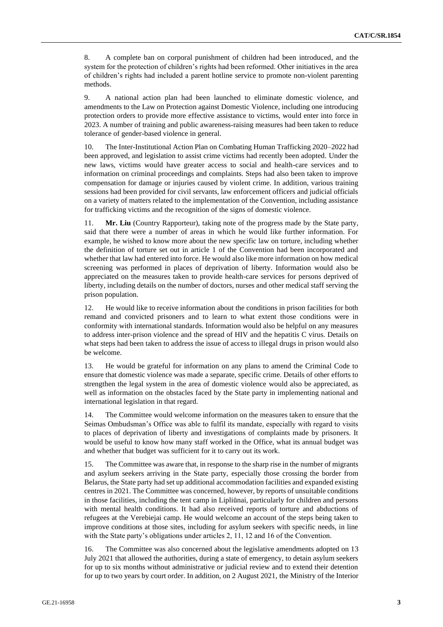8. A complete ban on corporal punishment of children had been introduced, and the system for the protection of children's rights had been reformed. Other initiatives in the area of children's rights had included a parent hotline service to promote non-violent parenting methods.

9. A national action plan had been launched to eliminate domestic violence, and amendments to the Law on Protection against Domestic Violence, including one introducing protection orders to provide more effective assistance to victims, would enter into force in 2023. A number of training and public awareness-raising measures had been taken to reduce tolerance of gender-based violence in general.

10. The Inter-Institutional Action Plan on Combating Human Trafficking 2020–2022 had been approved, and legislation to assist crime victims had recently been adopted. Under the new laws, victims would have greater access to social and health-care services and to information on criminal proceedings and complaints. Steps had also been taken to improve compensation for damage or injuries caused by violent crime. In addition, various training sessions had been provided for civil servants, law enforcement officers and judicial officials on a variety of matters related to the implementation of the Convention, including assistance for trafficking victims and the recognition of the signs of domestic violence.

11. **Mr. Liu** (Country Rapporteur), taking note of the progress made by the State party, said that there were a number of areas in which he would like further information. For example, he wished to know more about the new specific law on torture, including whether the definition of torture set out in article 1 of the Convention had been incorporated and whether that law had entered into force. He would also like more information on how medical screening was performed in places of deprivation of liberty. Information would also be appreciated on the measures taken to provide health-care services for persons deprived of liberty, including details on the number of doctors, nurses and other medical staff serving the prison population.

12. He would like to receive information about the conditions in prison facilities for both remand and convicted prisoners and to learn to what extent those conditions were in conformity with international standards. Information would also be helpful on any measures to address inter-prison violence and the spread of HIV and the hepatitis C virus. Details on what steps had been taken to address the issue of access to illegal drugs in prison would also be welcome.

13. He would be grateful for information on any plans to amend the Criminal Code to ensure that domestic violence was made a separate, specific crime. Details of other efforts to strengthen the legal system in the area of domestic violence would also be appreciated, as well as information on the obstacles faced by the State party in implementing national and international legislation in that regard.

14. The Committee would welcome information on the measures taken to ensure that the Seimas Ombudsman's Office was able to fulfil its mandate, especially with regard to visits to places of deprivation of liberty and investigations of complaints made by prisoners. It would be useful to know how many staff worked in the Office, what its annual budget was and whether that budget was sufficient for it to carry out its work.

15. The Committee was aware that, in response to the sharp rise in the number of migrants and asylum seekers arriving in the State party, especially those crossing the border from Belarus, the State party had set up additional accommodation facilities and expanded existing centres in 2021. The Committee was concerned, however, by reports of unsuitable conditions in those facilities, including the tent camp in Lipliūnai, particularly for children and persons with mental health conditions. It had also received reports of torture and abductions of refugees at the Verebiejai camp. He would welcome an account of the steps being taken to improve conditions at those sites, including for asylum seekers with specific needs, in line with the State party's obligations under articles 2, 11, 12 and 16 of the Convention.

16. The Committee was also concerned about the legislative amendments adopted on 13 July 2021 that allowed the authorities, during a state of emergency, to detain asylum seekers for up to six months without administrative or judicial review and to extend their detention for up to two years by court order. In addition, on 2 August 2021, the Ministry of the Interior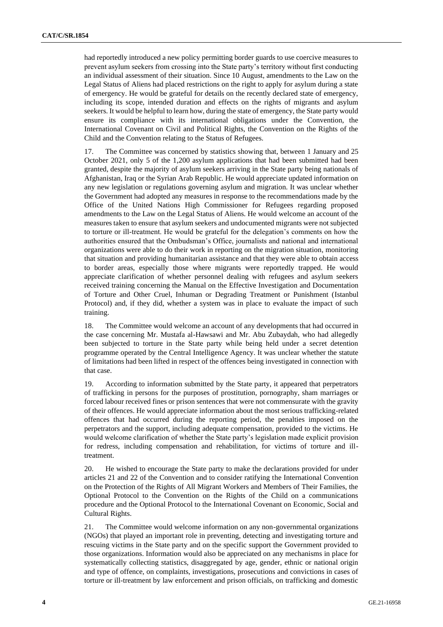had reportedly introduced a new policy permitting border guards to use coercive measures to prevent asylum seekers from crossing into the State party's territory without first conducting an individual assessment of their situation. Since 10 August, amendments to the Law on the Legal Status of Aliens had placed restrictions on the right to apply for asylum during a state of emergency. He would be grateful for details on the recently declared state of emergency, including its scope, intended duration and effects on the rights of migrants and asylum seekers. It would be helpful to learn how, during the state of emergency, the State party would ensure its compliance with its international obligations under the Convention, the International Covenant on Civil and Political Rights, the Convention on the Rights of the Child and the Convention relating to the Status of Refugees.

17. The Committee was concerned by statistics showing that, between 1 January and 25 October 2021, only 5 of the 1,200 asylum applications that had been submitted had been granted, despite the majority of asylum seekers arriving in the State party being nationals of Afghanistan, Iraq or the Syrian Arab Republic. He would appreciate updated information on any new legislation or regulations governing asylum and migration. It was unclear whether the Government had adopted any measures in response to the recommendations made by the Office of the United Nations High Commissioner for Refugees regarding proposed amendments to the Law on the Legal Status of Aliens. He would welcome an account of the measures taken to ensure that asylum seekers and undocumented migrants were not subjected to torture or ill-treatment. He would be grateful for the delegation's comments on how the authorities ensured that the Ombudsman's Office, journalists and national and international organizations were able to do their work in reporting on the migration situation, monitoring that situation and providing humanitarian assistance and that they were able to obtain access to border areas, especially those where migrants were reportedly trapped. He would appreciate clarification of whether personnel dealing with refugees and asylum seekers received training concerning the Manual on the Effective Investigation and Documentation of Torture and Other Cruel, Inhuman or Degrading Treatment or Punishment (Istanbul Protocol) and, if they did, whether a system was in place to evaluate the impact of such training.

18. The Committee would welcome an account of any developments that had occurred in the case concerning Mr. Mustafa al-Hawsawi and Mr. Abu Zubaydah, who had allegedly been subjected to torture in the State party while being held under a secret detention programme operated by the Central Intelligence Agency. It was unclear whether the statute of limitations had been lifted in respect of the offences being investigated in connection with that case.

19. According to information submitted by the State party, it appeared that perpetrators of trafficking in persons for the purposes of prostitution, pornography, sham marriages or forced labour received fines or prison sentences that were not commensurate with the gravity of their offences. He would appreciate information about the most serious trafficking-related offences that had occurred during the reporting period, the penalties imposed on the perpetrators and the support, including adequate compensation, provided to the victims. He would welcome clarification of whether the State party's legislation made explicit provision for redress, including compensation and rehabilitation, for victims of torture and illtreatment.

20. He wished to encourage the State party to make the declarations provided for under articles 21 and 22 of the Convention and to consider ratifying the International Convention on the Protection of the Rights of All Migrant Workers and Members of Their Families, the Optional Protocol to the Convention on the Rights of the Child on a communications procedure and the Optional Protocol to the International Covenant on Economic, Social and Cultural Rights.

21. The Committee would welcome information on any non-governmental organizations (NGOs) that played an important role in preventing, detecting and investigating torture and rescuing victims in the State party and on the specific support the Government provided to those organizations. Information would also be appreciated on any mechanisms in place for systematically collecting statistics, disaggregated by age, gender, ethnic or national origin and type of offence, on complaints, investigations, prosecutions and convictions in cases of torture or ill-treatment by law enforcement and prison officials, on trafficking and domestic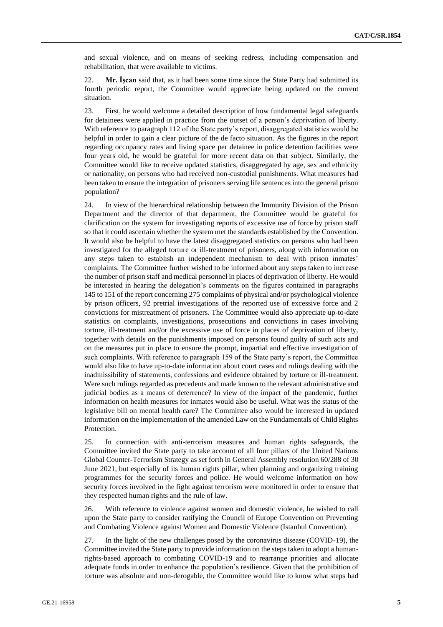and sexual violence, and on means of seeking redress, including compensation and rehabilitation, that were available to victims.

22. **Mr. İşcan** said that, as it had been some time since the State Party had submitted its fourth periodic report, the Committee would appreciate being updated on the current situation.

23. First, he would welcome a detailed description of how fundamental legal safeguards for detainees were applied in practice from the outset of a person's deprivation of liberty. With reference to paragraph 112 of the State party's report, disaggregated statistics would be helpful in order to gain a clear picture of the de facto situation. As the figures in the report regarding occupancy rates and living space per detainee in police detention facilities were four years old, he would be grateful for more recent data on that subject. Similarly, the Committee would like to receive updated statistics, disaggregated by age, sex and ethnicity or nationality, on persons who had received non-custodial punishments. What measures had been taken to ensure the integration of prisoners serving life sentences into the general prison population?

24. In view of the hierarchical relationship between the Immunity Division of the Prison Department and the director of that department, the Committee would be grateful for clarification on the system for investigating reports of excessive use of force by prison staff so that it could ascertain whether the system met the standards established by the Convention. It would also be helpful to have the latest disaggregated statistics on persons who had been investigated for the alleged torture or ill-treatment of prisoners, along with information on any steps taken to establish an independent mechanism to deal with prison inmates' complaints. The Committee further wished to be informed about any steps taken to increase the number of prison staff and medical personnel in places of deprivation of liberty. He would be interested in hearing the delegation's comments on the figures contained in paragraphs 145 to 151 of the report concerning 275 complaints of physical and/or psychological violence by prison officers, 92 pretrial investigations of the reported use of excessive force and 2 convictions for mistreatment of prisoners. The Committee would also appreciate up-to-date statistics on complaints, investigations, prosecutions and convictions in cases involving torture, ill-treatment and/or the excessive use of force in places of deprivation of liberty, together with details on the punishments imposed on persons found guilty of such acts and on the measures put in place to ensure the prompt, impartial and effective investigation of such complaints. With reference to paragraph 159 of the State party's report, the Committee would also like to have up-to-date information about court cases and rulings dealing with the inadmissibility of statements, confessions and evidence obtained by torture or ill-treatment. Were such rulings regarded as precedents and made known to the relevant administrative and judicial bodies as a means of deterrence? In view of the impact of the pandemic, further information on health measures for inmates would also be useful. What was the status of the legislative bill on mental health care? The Committee also would be interested in updated information on the implementation of the amended Law on the Fundamentals of Child Rights Protection.

25. In connection with anti-terrorism measures and human rights safeguards, the Committee invited the State party to take account of all four pillars of the United Nations Global Counter-Terrorism Strategy as set forth in General Assembly resolution 60/288 of 30 June 2021, but especially of its human rights pillar, when planning and organizing training programmes for the security forces and police. He would welcome information on how security forces involved in the fight against terrorism were monitored in order to ensure that they respected human rights and the rule of law.

26. With reference to violence against women and domestic violence, he wished to call upon the State party to consider ratifying the Council of Europe Convention on Preventing and Combating Violence against Women and Domestic Violence (Istanbul Convention).

27. In the light of the new challenges posed by the coronavirus disease (COVID-19), the Committee invited the State party to provide information on the steps taken to adopt a humanrights-based approach to combating COVID-19 and to rearrange priorities and allocate adequate funds in order to enhance the population's resilience. Given that the prohibition of torture was absolute and non-derogable, the Committee would like to know what steps had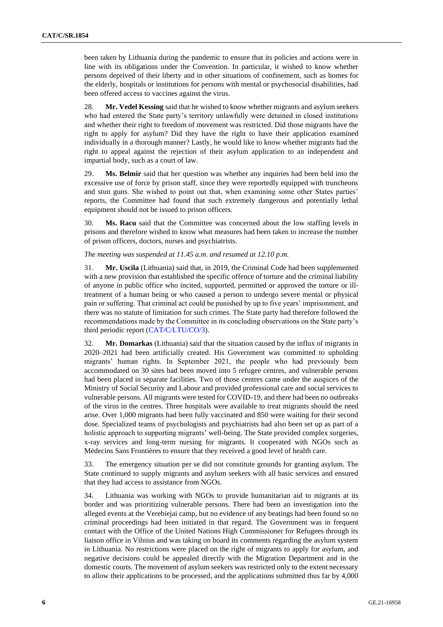been taken by Lithuania during the pandemic to ensure that its policies and actions were in line with its obligations under the Convention. In particular, it wished to know whether persons deprived of their liberty and in other situations of confinement, such as homes for the elderly, hospitals or institutions for persons with mental or psychosocial disabilities, had been offered access to vaccines against the virus.

28. **Mr. Vedel Kessing** said that he wished to know whether migrants and asylum seekers who had entered the State party's territory unlawfully were detained in closed institutions and whether their right to freedom of movement was restricted. Did those migrants have the right to apply for asylum? Did they have the right to have their application examined individually in a thorough manner? Lastly, he would like to know whether migrants had the right to appeal against the rejection of their asylum application to an independent and impartial body, such as a court of law.

29. **Ms. Belmir** said that her question was whether any inquiries had been held into the excessive use of force by prison staff, since they were reportedly equipped with truncheons and stun guns. She wished to point out that, when examining some other States parties' reports, the Committee had found that such extremely dangerous and potentially lethal equipment should not be issued to prison officers.

30. **Ms. Racu** said that the Committee was concerned about the low staffing levels in prisons and therefore wished to know what measures had been taken to increase the number of prison officers, doctors, nurses and psychiatrists.

*The meeting was suspended at 11.45 a.m. and resumed at 12.10 p.m.*

31. **Mr. Uscila** (Lithuania) said that, in 2019, the Criminal Code had been supplemented with a new provision that established the specific offence of torture and the criminal liability of anyone in public office who incited, supported, permitted or approved the torture or illtreatment of a human being or who caused a person to undergo severe mental or physical pain or suffering. That criminal act could be punished by up to five years' imprisonment, and there was no statute of limitation for such crimes. The State party had therefore followed the recommendations made by the Committee in its concluding observations on the State party's third periodic report [\(CAT/C/LTU/CO/3\)](http://undocs.org/en/CAT/C/LTU/CO/3).

32. **Mr. Domarkas** (Lithuania) said that the situation caused by the influx of migrants in 2020–2021 had been artificially created. His Government was committed to upholding migrants' human rights. In September 2021, the people who had previously been accommodated on 30 sites had been moved into 5 refugee centres, and vulnerable persons had been placed in separate facilities. Two of those centres came under the auspices of the Ministry of Social Security and Labour and provided professional care and social services to vulnerable persons. All migrants were tested for COVID-19, and there had been no outbreaks of the virus in the centres. Three hospitals were available to treat migrants should the need arise. Over 1,000 migrants had been fully vaccinated and 850 were waiting for their second dose. Specialized teams of psychologists and psychiatrists had also been set up as part of a holistic approach to supporting migrants' well-being. The State provided complex surgeries, x-ray services and long-term nursing for migrants. It cooperated with NGOs such as Médecins Sans Frontières to ensure that they received a good level of health care.

33. The emergency situation per se did not constitute grounds for granting asylum. The State continued to supply migrants and asylum seekers with all basic services and ensured that they had access to assistance from NGOs.

34. Lithuania was working with NGOs to provide humanitarian aid to migrants at its border and was prioritizing vulnerable persons. There had been an investigation into the alleged events at the Verebiejai camp, but no evidence of any beatings had been found so no criminal proceedings had been initiated in that regard. The Government was in frequent contact with the Office of the United Nations High Commissioner for Refugees through its liaison office in Vilnius and was taking on board its comments regarding the asylum system in Lithuania. No restrictions were placed on the right of migrants to apply for asylum, and negative decisions could be appealed directly with the Migration Department and in the domestic courts. The movement of asylum seekers was restricted only to the extent necessary to allow their applications to be processed, and the applications submitted thus far by 4,000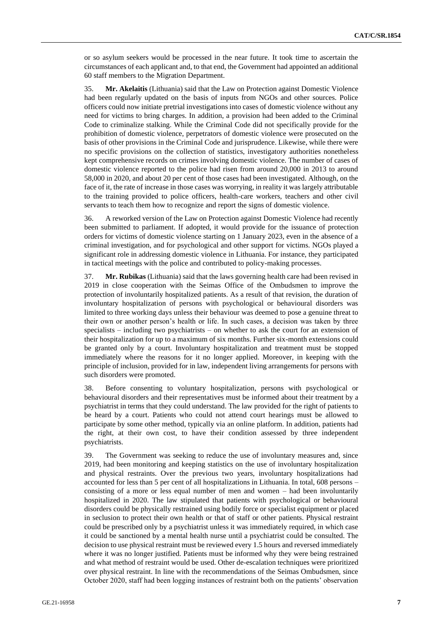or so asylum seekers would be processed in the near future. It took time to ascertain the circumstances of each applicant and, to that end, the Government had appointed an additional 60 staff members to the Migration Department.

35. **Mr. Akelaitis** (Lithuania) said that the Law on Protection against Domestic Violence had been regularly updated on the basis of inputs from NGOs and other sources. Police officers could now initiate pretrial investigations into cases of domestic violence without any need for victims to bring charges. In addition, a provision had been added to the Criminal Code to criminalize stalking. While the Criminal Code did not specifically provide for the prohibition of domestic violence, perpetrators of domestic violence were prosecuted on the basis of other provisions in the Criminal Code and jurisprudence. Likewise, while there were no specific provisions on the collection of statistics, investigatory authorities nonetheless kept comprehensive records on crimes involving domestic violence. The number of cases of domestic violence reported to the police had risen from around 20,000 in 2013 to around 58,000 in 2020, and about 20 per cent of those cases had been investigated. Although, on the face of it, the rate of increase in those cases was worrying, in reality it was largely attributable to the training provided to police officers, health-care workers, teachers and other civil servants to teach them how to recognize and report the signs of domestic violence.

36. A reworked version of the Law on Protection against Domestic Violence had recently been submitted to parliament. If adopted, it would provide for the issuance of protection orders for victims of domestic violence starting on 1 January 2023, even in the absence of a criminal investigation, and for psychological and other support for victims. NGOs played a significant role in addressing domestic violence in Lithuania. For instance, they participated in tactical meetings with the police and contributed to policy-making processes.

37. **Mr. Rubikas** (Lithuania) said that the laws governing health care had been revised in 2019 in close cooperation with the Seimas Office of the Ombudsmen to improve the protection of involuntarily hospitalized patients. As a result of that revision, the duration of involuntary hospitalization of persons with psychological or behavioural disorders was limited to three working days unless their behaviour was deemed to pose a genuine threat to their own or another person's health or life. In such cases, a decision was taken by three specialists – including two psychiatrists – on whether to ask the court for an extension of their hospitalization for up to a maximum of six months. Further six-month extensions could be granted only by a court. Involuntary hospitalization and treatment must be stopped immediately where the reasons for it no longer applied. Moreover, in keeping with the principle of inclusion, provided for in law, independent living arrangements for persons with such disorders were promoted.

38. Before consenting to voluntary hospitalization, persons with psychological or behavioural disorders and their representatives must be informed about their treatment by a psychiatrist in terms that they could understand. The law provided for the right of patients to be heard by a court. Patients who could not attend court hearings must be allowed to participate by some other method, typically via an online platform. In addition, patients had the right, at their own cost, to have their condition assessed by three independent psychiatrists.

39. The Government was seeking to reduce the use of involuntary measures and, since 2019, had been monitoring and keeping statistics on the use of involuntary hospitalization and physical restraints. Over the previous two years, involuntary hospitalizations had accounted for less than 5 per cent of all hospitalizations in Lithuania. In total, 608 persons – consisting of a more or less equal number of men and women – had been involuntarily hospitalized in 2020. The law stipulated that patients with psychological or behavioural disorders could be physically restrained using bodily force or specialist equipment or placed in seclusion to protect their own health or that of staff or other patients. Physical restraint could be prescribed only by a psychiatrist unless it was immediately required, in which case it could be sanctioned by a mental health nurse until a psychiatrist could be consulted. The decision to use physical restraint must be reviewed every 1.5 hours and reversed immediately where it was no longer justified. Patients must be informed why they were being restrained and what method of restraint would be used. Other de-escalation techniques were prioritized over physical restraint. In line with the recommendations of the Seimas Ombudsmen, since October 2020, staff had been logging instances of restraint both on the patients' observation